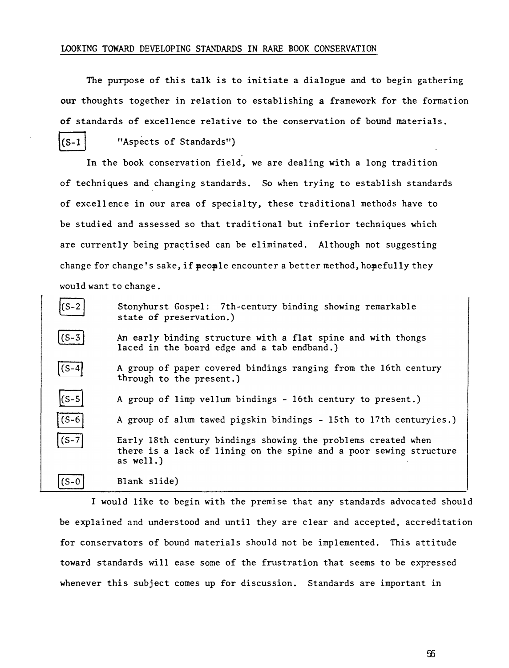## LOOKING TOWARD DEVELOPING STANDARDS IN RARE BOOK CONSERVATION

The purpose of this talk is to initiate a dialogue and to begin gathering our thoughts together in relation to establishing a framework for the formation of standards of excellence relative to the conservation of bound materials.  $(S-1)$ "Aspects of Standards")

In the book conservation field, we are dealing with a long tradition of techniques and changing standards. So when trying to establish standards of excell ence in our area of specialty, these traditional methods have to be studied and assessed so that traditional but inferior techniques which are currently being practised can be eliminated. Although not suggesting change for change's sake, if  $\neq$  and  $\neq$  encounter a better method, hopefully they would want to change.

| $(S-2)$ | Stonyhurst Gospel: 7th-century binding showing remarkable<br>state of preservation.)                                                             |
|---------|--------------------------------------------------------------------------------------------------------------------------------------------------|
| (S-3    | An early binding structure with a flat spine and with thongs<br>laced in the board edge and a tab endband.)                                      |
| $(S-4)$ | A group of paper covered bindings ranging from the 16th century<br>through to the present.)                                                      |
| $(S-5)$ | A group of limp vellum bindings - 16th century to present.)                                                                                      |
| $(s-6)$ | A group of alum tawed pigskin bindings - 15th to 17th centuryies.)                                                                               |
| $(S-7)$ | Early 18th century bindings showing the problems created when<br>there is a lack of lining on the spine and a poor sewing structure<br>as well.) |
| (S-0    | Blank slide)                                                                                                                                     |

I would like to begin with the premise that any standards advocated should be explained and understood and until they are clear and accepted, accreditation for conservators of bound materials should not be implemented. This attitude toward standards will ease some of the frustration that seems to be expressed whenever this subject comes up for discussion. Standards are important in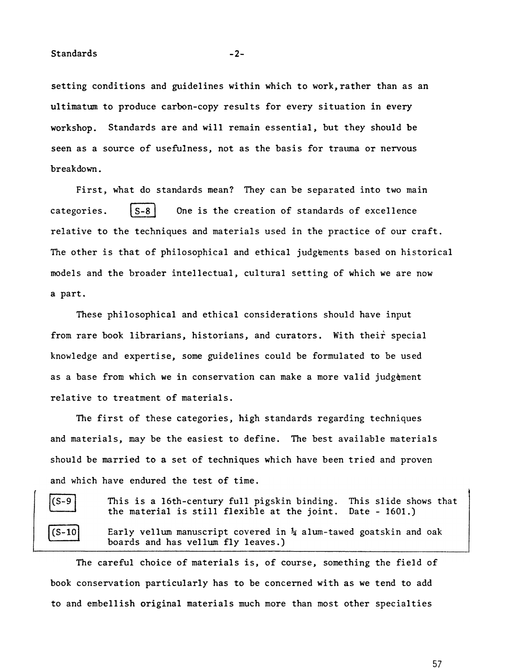Standards -2-

setting conditions and guidelines within which to work, rather than as an ultimatum to produce carbon-copy results for every situation in every workshop. Standards are and will remain essential, but they should be seen as a source of usefulness, not as the basis for trauma or nervous breakdown.

First, what do standards mean? They can be separated into two main categories.  $|S-8|$  One is the creation of standards of excellence relative to the techniques and materials used in the practice of our craft. The other is that of philosophical and ethical judgements based on historical models and the broader intellectual, cultural setting of which we are now a part.

These philosophical and ethical considerations should have input from rare book librarians, historians, and curators. With their special knowledge and expertise, some guidelines could be formulated to be used as a base from which we in conservation can make a more valid judgèment relative to treatment of materials.

The first of these categories, high standards regarding techniques and materials, may be the easiest to define. The best available materials should be married to a set of techniques which have been tried and proven and which have endured the test of time.

| $(s-{\tilde{c}})$<br>Э |  |
|------------------------|--|
| $(s-$<br>10            |  |

This is a 16th-century full pigskin binding. the material is still flexible at the joint. Date - 1601.) This slide shows that

Early vellum manuscript covered in  $\frac{1}{4}$  alum-tawed goatskin and oak boards and has vellum fly leaves.)

The careful choice of materials is, of course, something the field of book conservation particularly has to be concerned with as we tend to add to and embellish original materials much more than most other specialties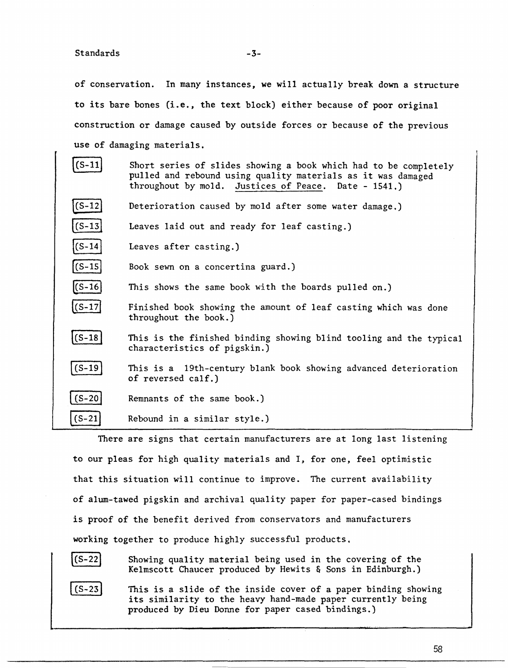of conservation. In many instances, we will actually break down a structure to its bare bones (i.e., the text block) either because of poor original construction or damage caused by outside forces or because of the previous use of damaging materials.

| S-1:       | Short series of slides showing a book which had to be completely<br>pulled and rebound using quality materials as it was damaged<br>throughout by mold. Justices of Peace. Date - 1541.) |
|------------|------------------------------------------------------------------------------------------------------------------------------------------------------------------------------------------|
| $(S-12)$   | Deterioration caused by mold after some water damage.)                                                                                                                                   |
| $(S-13)$   | Leaves laid out and ready for leaf casting.)                                                                                                                                             |
| $(S-14)$   | Leaves after casting.)                                                                                                                                                                   |
| $(S-15)$   | Book sewn on a concertina guard.)                                                                                                                                                        |
| $(S-16)$   | This shows the same book with the boards pulled on.)                                                                                                                                     |
| $(S-17)$   | Finished book showing the amount of leaf casting which was done<br>throughout the book.)                                                                                                 |
| $(S-18)$   | This is the finished binding showing blind tooling and the typical<br>characteristics of pigskin.)                                                                                       |
| $(S-19)$   | This is a 19th-century blank book showing advanced deterioration<br>of reversed calf.)                                                                                                   |
| $(S-20)$   | Remnants of the same book.)                                                                                                                                                              |
| $(S - 21)$ | Rebound in a similar style.)                                                                                                                                                             |

There are signs that certain manufacturers are at long last listening to our pleas for high quality materials and I, for one, feel optimistic that this situation will continue to improve. The current availability of alum-tawed pigskin and archival quality paper for paper-cased bindings is proof of the benefit derived from conservators and manufacturers working together to produce highly successful products.



Showing quality material being used in the covering of the Kelmscott Chaucer produced by Hewits & Sons in Edinburgh.)



This is a slide of the inside cover of a paper binding showing its similarity to the heavy hand-made paper currently being produced by Dieu Donne for paper cased bindings.)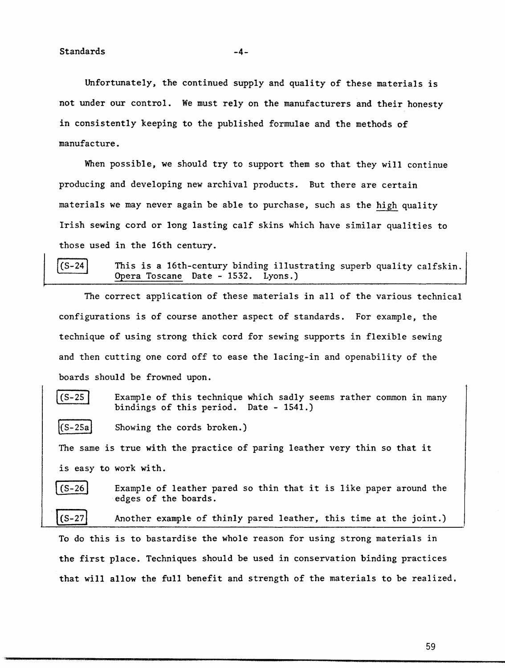Unfortunately, the continued supply and quality of these materials is not under our control. We must rely on the manufacturers and their honesty in consistently keeping to the published formulae and the methods of manufacture.

When possible, we should try to support them so that they will continue producing and developing new archival products. But there are certain materials we may never again be able to purchase, such as the high quality Irish sewing cord or long lasting calf skins which have similar qualities to those used in the 16th century.

 $(S - 24)$ 

This is a 16th-century binding illustrating superb quality calfskin. Opera Toscane Date - 1532. Lyons.)

The correct application of these materials in all of the various technical configurations is of course another aspect of standards. For example, the technique of using strong thick cord for sewing supports in flexible sewing and then cutting one cord off to ease the lacing-in and openability of the boards should be frowned upon.

Example of this technique which sadly seems rather common in many  $(S-25)$ bindings of this period. Date - 1541.)  $[G-25a]$ Showing the cords broken.) The same is true with the practice of paring leather very thin so that it is easy to work with. \ (S-26] Example of leather pared so thin that it is like paper around the edges of the boards. Another example of thinly pared leather, this time at the joint.)  $(S-27)$ To do this is to bastardise the whole reason for using strong materials in

the first place. Techniques should be used in conservation binding practices that will allow the full benefit and strength of the materials to be realized.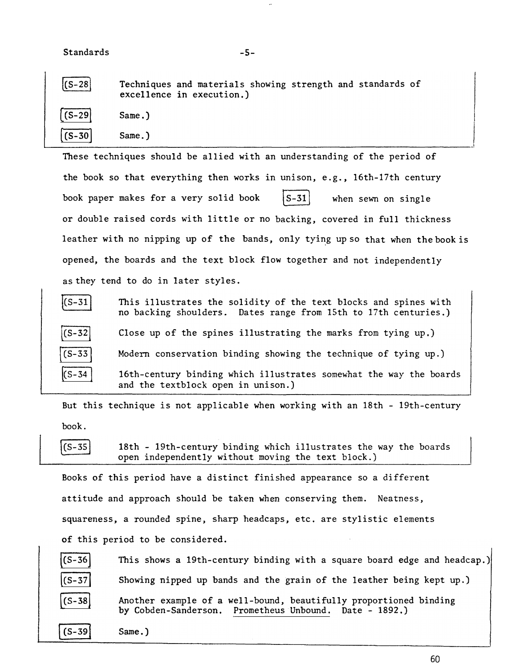| $ (S-28 )$ | Techniques and materials showing strength and standards of<br>excellence in execution.) |
|------------|-----------------------------------------------------------------------------------------|
| $  (S-29)$ | Same.)                                                                                  |
| $(S-30)$   | $Same.$ )                                                                               |

-5-

These techniques should be allied with an understanding of the period of the book so that everything then works in unison, e.g., 16th-17th century book paper makes for a very solid book  $|S-31|$  when sewn on single or double raised cords with little or no backing, covered in full thickness leather with no nipping up of the bands, only tying up so that when the book is opened, the boards and the text block flow together and not independently as they tend to do in later styles.



But this technique is not applicable when working with an 18th - 19th-century book.

 $(S - 35)$ 

18th - 19th-century binding which illustrates the way the boards open independently without moving the text block.)

Books of this period have a distinct finished appearance so a different attitude and approach should be taken when conserving them. Neatness, squareness, a rounded spine, sharp headcaps, etc. are stylistic elements of this period to be considered.

| $  (S - 36)$              | This shows a 19th-century binding with a square board edge and headcap.)                                                    |
|---------------------------|-----------------------------------------------------------------------------------------------------------------------------|
| $ (S-37 )$                | Showing nipped up bands and the grain of the leather being kept up.)                                                        |
| $\left($ S - 38 $\right)$ | Another example of a well-bound, beautifully proportioned binding<br>by Cobden-Sanderson. Prometheus Unbound. Date - 1892.) |
| $  (S-39)$                | $Same.$ )                                                                                                                   |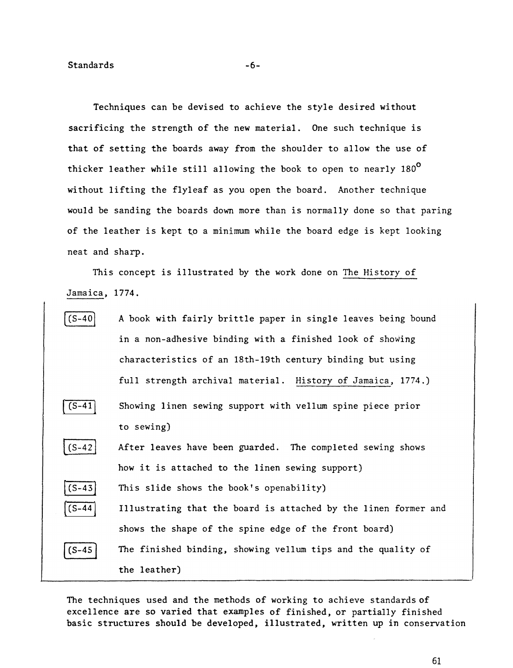Techniques can be devised to achieve the style desired without sacrificing the strength of the new material. One such technique is that of setting the boards away from the shoulder to allow the use of thicker leather while still allowing the book to open to nearly  $180^{\circ}$ without lifting the flyleaf as you open the board. Another technique would be sanding the boards down more than is normally done so that paring of the leather is kept to a minimum while the board edge is kept looking neat and sharp.

This concept is illustrated by the work done on The History of Jamaica, 1774.



The techniques used and the methods of working to achieve standards of excellence are so varied that examples of finished, or partially finished basic structures should be developed, illustrated, written up in conservation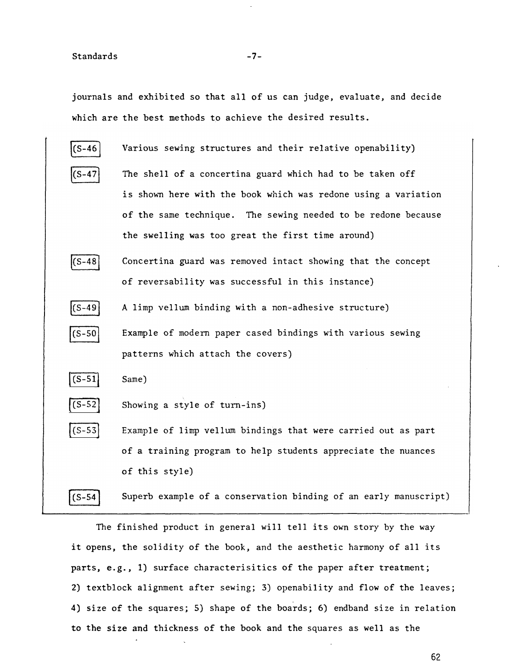journals and exhibited so that all of us can judge, evaluate, and decide which are the best methods to achieve the desired results.



The finished product in general will tell its own story by the way it opens, the solidity of the book, and the aesthetic harmony of all its parts, e.g., 1) surface characterisitics of the paper after treatment; 2) textblock alignment after sewing; 3) openability and flow of the leaves; 4) size of the squares; 5) shape of the boards; 6) endband size in relation to the size and thickness of the book and the squares as well as the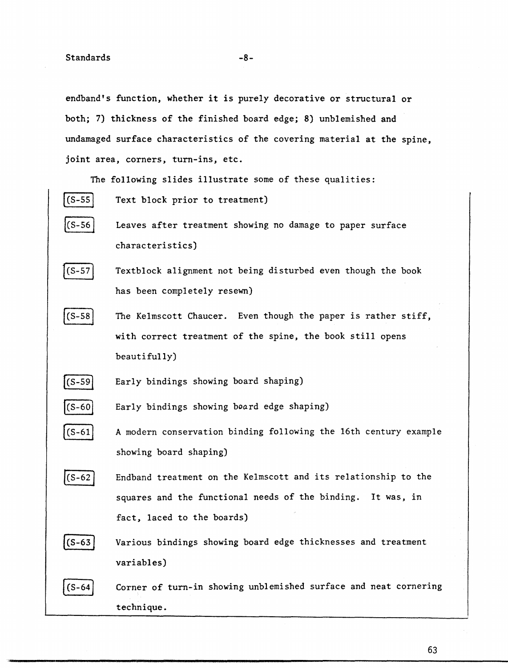endband's function, whether it is purely decorative or structural or both; 7) thickness of the finished board edge; 8) unblemished and undamaged surface characteristics of the covering material at the spine, joint area, corners, turn-ins, etc.

The following slides illustrate some of these qualities:

- $(S-55)$ Text block prior to treatment)  $(CS - 56)$ Leaves after treatment showing no damage to paper surface characteristics)
- $|$ (S-57 Textblock alignment not being disturbed even though the book has been completely resewn)
- $(S-58)$ The Kelmscott Chaucer. Even though the paper is rather stiff, with correct treatment of the spine, the book still opens beautifully)
- [cs-s9] Early bindings showing board shaping)
- $(s-60)$ Early bindings showing board edge shaping)
- $(S-61)$ A modern conservation binding following the 16th century example showing board shaping)
- $|$ (S-62 Endband treatment on the Kelmscott and its relationship to the squares and the functional needs of the binding. It was, in fact, laced to the boards)



Various bindings showing board edge thicknesses and treatment variables)



Corner of turn-in showing unblemished surface and neat cornering technique.